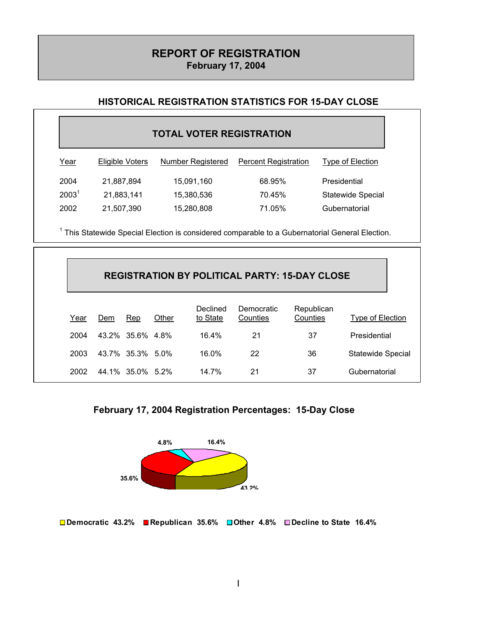# **REPORT OF REGISTRATION February 17, 2004**

### **HISTORICAL REGISTRATION STATISTICS FOR 15-DAY CLOSE**

## **TOTAL VOTER REGISTRATION**

| <u>Year</u>       | Eligible Voters | Number Registered | <b>Percent Registration</b> | Type of Election         |
|-------------------|-----------------|-------------------|-----------------------------|--------------------------|
| 2004              | 21,887,894      | 15,091,160        | 68.95%                      | Presidential             |
| 2003 <sup>1</sup> | 21,883,141      | 15,380,536        | 70.45%                      | <b>Statewide Special</b> |
| 2002              | 21,507,390      | 15,280,808        | 71.05%                      | Gubernatorial            |

<sup>1</sup> This Statewide Special Election is considered comparable to a Gubernatorial General Election.

|      | <b>REGISTRATION BY POLITICAL PARTY: 15-DAY CLOSE</b> |                  |       |                      |                        |                        |                   |
|------|------------------------------------------------------|------------------|-------|----------------------|------------------------|------------------------|-------------------|
| Year | Dem                                                  | Rep              | Other | Declined<br>to State | Democratic<br>Counties | Republican<br>Counties | Type of Election  |
| 2004 |                                                      | 43.2% 35.6% 4.8% |       | 16.4%                | 21                     | 37                     | Presidential      |
| 2003 |                                                      | 43.7% 35.3% 5.0% |       | $16.0\%$             | 22                     | 36                     | Statewide Special |
| 2002 |                                                      | 44.1% 35.0% 5.2% |       | 14.7%                | 21                     | 37                     | Gubernatorial     |





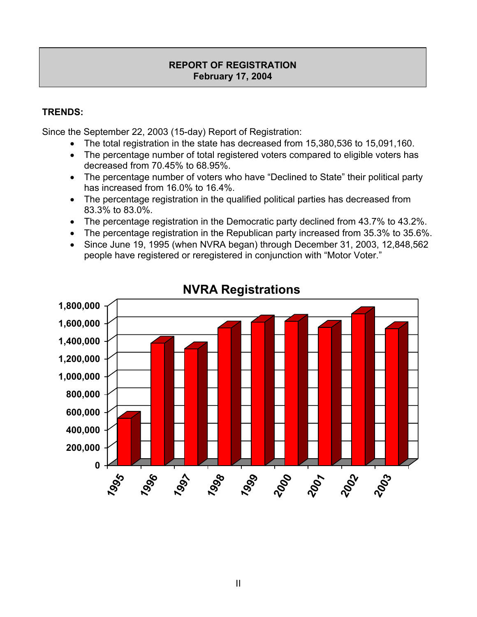## **REPORT OF REGISTRATION February 17, 2004**

# **TRENDS:**

Since the September 22, 2003 (15-day) Report of Registration:

- The total registration in the state has decreased from 15,380,536 to 15,091,160.
- The percentage number of total registered voters compared to eligible voters has decreased from 70.45% to 68.95%.
- The percentage number of voters who have "Declined to State" their political party has increased from 16.0% to 16.4%.
- The percentage registration in the qualified political parties has decreased from 83.3% to 83.0%.
- The percentage registration in the Democratic party declined from 43.7% to 43.2%.
- The percentage registration in the Republican party increased from 35.3% to 35.6%.
- Since June 19, 1995 (when NVRA began) through December 31, 2003, 12,848,562 people have registered or reregistered in conjunction with "Motor Voter."



**NVRA Registrations**